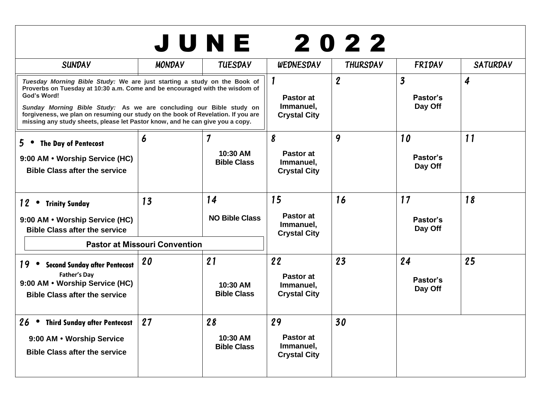| 2022<br>JUNE                                                                                                                                                                                                                                                                                                                                                                                                       |               |                                      |                                                     |                  |                                                |                             |
|--------------------------------------------------------------------------------------------------------------------------------------------------------------------------------------------------------------------------------------------------------------------------------------------------------------------------------------------------------------------------------------------------------------------|---------------|--------------------------------------|-----------------------------------------------------|------------------|------------------------------------------------|-----------------------------|
| <b>SUNDAY</b>                                                                                                                                                                                                                                                                                                                                                                                                      | <b>MONDAY</b> | <b>TUESDAY</b>                       | WEDNESDAY                                           | THURSDAY         | FRIDAY                                         | <b>SATURDAY</b>             |
| Tuesday Morning Bible Study: We are just starting a study on the Book of<br>Proverbs on Tuesday at 10:30 a.m. Come and be encouraged with the wisdom of<br>God's Word!<br>Sunday Morning Bible Study: As we are concluding our Bible study on<br>forgiveness, we plan on resuming our study on the book of Revelation. If you are<br>missing any study sheets, please let Pastor know, and he can give you a copy. |               |                                      | Pastor at<br>Immanuel,<br><b>Crystal City</b>       | $\boldsymbol{2}$ | $\overline{\mathbf{3}}$<br>Pastor's<br>Day Off | $\overline{\boldsymbol{4}}$ |
| $5 \bullet$<br><b>The Day of Pentecost</b><br>9:00 AM • Worship Service (HC)<br><b>Bible Class after the service</b>                                                                                                                                                                                                                                                                                               | 6             | 7<br>10:30 AM<br><b>Bible Class</b>  | 8<br>Pastor at<br>Immanuel,<br><b>Crystal City</b>  | 9                | 10<br>Pastor's<br>Day Off                      | 11                          |
| $12$ $\cdot$<br><b>Trinity Sunday</b><br>9:00 AM • Worship Service (HC)<br><b>Bible Class after the service</b>                                                                                                                                                                                                                                                                                                    | 13            | 14<br><b>NO Bible Class</b>          | 15<br>Pastor at<br>Immanuel,<br><b>Crystal City</b> | 16               | 17<br>Pastor's<br>Day Off                      | 18                          |
| <b>Pastor at Missouri Convention</b>                                                                                                                                                                                                                                                                                                                                                                               |               |                                      |                                                     |                  |                                                |                             |
| 19 • Second Sunday after Pentecost<br><b>Father's Day</b><br>9:00 AM • Worship Service (HC)<br><b>Bible Class after the service</b>                                                                                                                                                                                                                                                                                | 20            | 21<br>10:30 AM<br><b>Bible Class</b> | 22<br>Pastor at<br>Immanuel,<br><b>Crystal City</b> | 23               | 24<br>Pastor's<br>Day Off                      | 25                          |
| 26 • Third Sunday after Pentecost<br>9:00 AM . Worship Service<br><b>Bible Class after the service</b>                                                                                                                                                                                                                                                                                                             | 27            | 28<br>10:30 AM<br><b>Bible Class</b> | 29<br>Pastor at<br>Immanuel,<br><b>Crystal City</b> | 30               |                                                |                             |